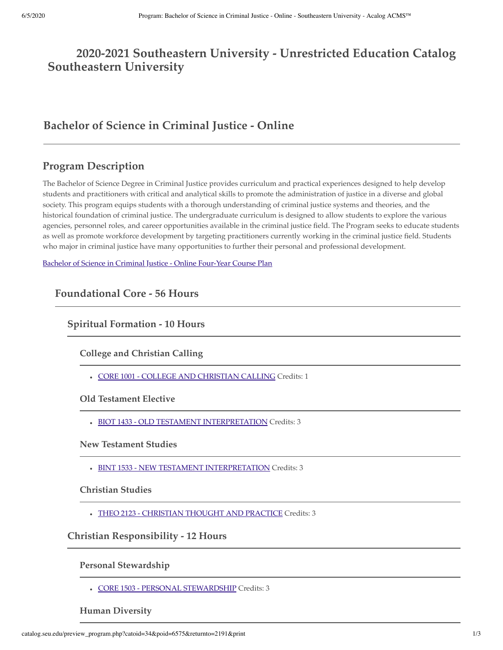# **2020-2021 Southeastern University - Unrestricted Education Catalog Southeastern University**

# **Bachelor of Science in Criminal Justice - Online**

## **Program Description**

The Bachelor of Science Degree in Criminal Justice provides curriculum and practical experiences designed to help develop students and practitioners with critical and analytical skills to promote the administration of justice in a diverse and global society. This program equips students with a thorough understanding of criminal justice systems and theories, and the historical foundation of criminal justice. The undergraduate curriculum is designed to allow students to explore the various agencies, personnel roles, and career opportunities available in the criminal justice field. The Program seeks to educate students as well as promote workforce development by targeting practitioners currently working in the criminal justice field. Students who major in criminal justice have many opportunities to further their personal and professional development.

[Bachelor of Science in Criminal Justice - Online Four-Year Course Plan](http://catalog.seu.edu/preview_program.php?catoid=34&poid=6620)

**Foundational Core - 56 Hours**

**Spiritual Formation - 10 Hours**

**College and Christian Calling**

CORE 1001 - COLLEGE AND CHRISTIAN CALLING Credits: 1

**Old Testament Elective**

• BIOT 1433 - OLD TESTAMENT INTERPRETATION Credits: 3

**New Testament Studies**

BINT 1533 - NEW TESTAMENT INTERPRETATION Credits: 3

**Christian Studies**

THEO 2123 - CHRISTIAN THOUGHT AND PRACTICE Credits: 3

**Christian Responsibility - 12 Hours**

**Personal Stewardship**

CORE 1503 - PERSONAL STEWARDSHIP Credits: 3

**Human Diversity**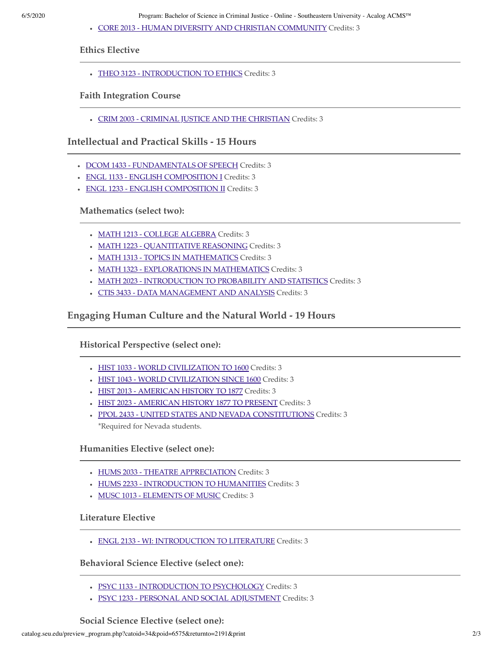CORE 2013 - HUMAN DIVERSITY AND CHRISTIAN COMMUNITY Credits: 3

**Ethics Elective**

• THEO 3123 - INTRODUCTION TO ETHICS Credits: 3

#### **Faith Integration Course**

CRIM 2003 - CRIMINAL JUSTICE AND THE CHRISTIAN Credits: 3

**Intellectual and Practical Skills - 15 Hours**

- DCOM 1433 FUNDAMENTALS OF SPEECH Credits: 3
- ENGL 1133 ENGLISH COMPOSITION I Credits: 3
- ENGL 1233 ENGLISH COMPOSITION II Credits: 3

**Mathematics (select two):**

- MATH 1213 COLLEGE ALGEBRA Credits: 3
- MATH 1223 QUANTITATIVE REASONING Credits: 3
- MATH 1313 TOPICS IN MATHEMATICS Credits: 3
- MATH 1323 EXPLORATIONS IN MATHEMATICS Credits: 3
- MATH 2023 INTRODUCTION TO PROBABILITY AND STATISTICS Credits: 3
- CTIS 3433 DATA MANAGEMENT AND ANALYSIS Credits: 3

**Engaging Human Culture and the Natural World - 19 Hours**

**Historical Perspective (select one):**

- HIST 1033 WORLD CIVILIZATION TO 1600 Credits: 3
- HIST 1043 WORLD CIVILIZATION SINCE 1600 Credits: 3
- HIST 2013 AMERICAN HISTORY TO 1877 Credits: 3
- HIST 2023 AMERICAN HISTORY 1877 TO PRESENT Credits: 3
- PPOL 2433 UNITED STATES AND NEVADA CONSTITUTIONS Credits: 3 \*Required for Nevada students.

**Humanities Elective (select one):**

- HUMS 2033 THEATRE APPRECIATION Credits: 3
- HUMS 2233 INTRODUCTION TO HUMANITIES Credits: 3
- MUSC 1013 ELEMENTS OF MUSIC Credits: 3

#### **Literature Elective**

ENGL 2133 - WI: INTRODUCTION TO LITERATURE Credits: 3

**Behavioral Science Elective (select one):**

- PSYC 1133 INTRODUCTION TO PSYCHOLOGY Credits: 3
- PSYC 1233 PERSONAL AND SOCIAL ADJUSTMENT Credits: 3

**Social Science Elective (select one):**